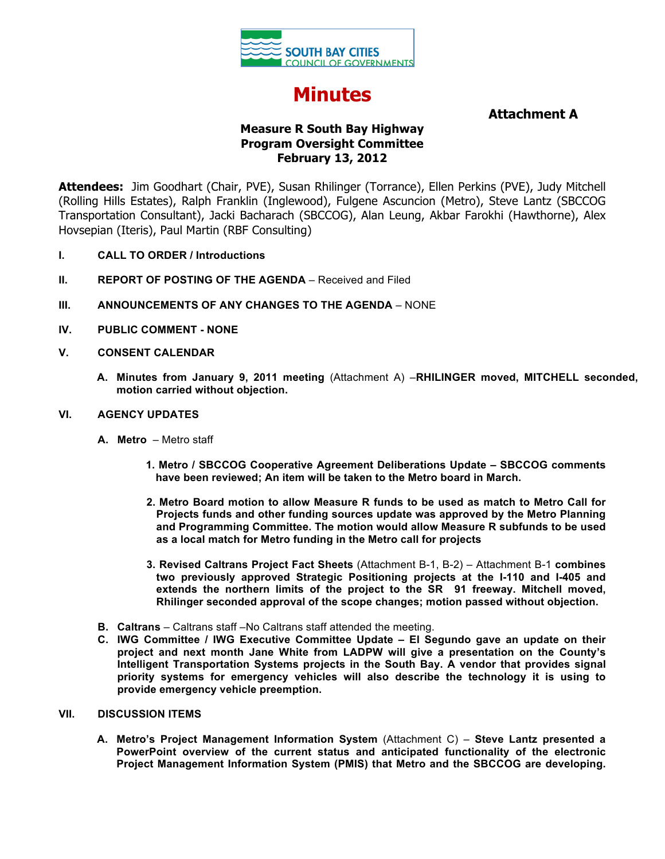

# **Minutes**

## **Attachment A**

## **Measure R South Bay Highway Program Oversight Committee February 13, 2012**

**Attendees:** Jim Goodhart (Chair, PVE), Susan Rhilinger (Torrance), Ellen Perkins (PVE), Judy Mitchell (Rolling Hills Estates), Ralph Franklin (Inglewood), Fulgene Ascuncion (Metro), Steve Lantz (SBCCOG Transportation Consultant), Jacki Bacharach (SBCCOG), Alan Leung, Akbar Farokhi (Hawthorne), Alex Hovsepian (Iteris), Paul Martin (RBF Consulting)

- **I. CALL TO ORDER / Introductions**
- **II. REPORT OF POSTING OF THE AGENDA** Received and Filed
- **III. ANNOUNCEMENTS OF ANY CHANGES TO THE AGENDA** NONE
- **IV. PUBLIC COMMENT - NONE**
- **V. CONSENT CALENDAR**
	- **A. Minutes from January 9, 2011 meeting** (Attachment A) –**RHILINGER moved, MITCHELL seconded, motion carried without objection.**

### **VI. AGENCY UPDATES**

- **A. Metro** Metro staff
	- **1. Metro / SBCCOG Cooperative Agreement Deliberations Update – SBCCOG comments have been reviewed; An item will be taken to the Metro board in March.**
	- **2. Metro Board motion to allow Measure R funds to be used as match to Metro Call for Projects funds and other funding sources update was approved by the Metro Planning and Programming Committee. The motion would allow Measure R subfunds to be used as a local match for Metro funding in the Metro call for projects**
	- **3. Revised Caltrans Project Fact Sheets** (Attachment B-1, B-2) Attachment B-1 **combines two previously approved Strategic Positioning projects at the I-110 and I-405 and extends the northern limits of the project to the SR 91 freeway. Mitchell moved, Rhilinger seconded approval of the scope changes; motion passed without objection.**
- **B. Caltrans**  Caltrans staff –No Caltrans staff attended the meeting.
- **C. IWG Committee / IWG Executive Committee Update – El Segundo gave an update on their project and next month Jane White from LADPW will give a presentation on the County's Intelligent Transportation Systems projects in the South Bay. A vendor that provides signal priority systems for emergency vehicles will also describe the technology it is using to provide emergency vehicle preemption.**

#### **VII. DISCUSSION ITEMS**

**A. Metro's Project Management Information System** (Attachment C) – **Steve Lantz presented a PowerPoint overview of the current status and anticipated functionality of the electronic Project Management Information System (PMIS) that Metro and the SBCCOG are developing.**